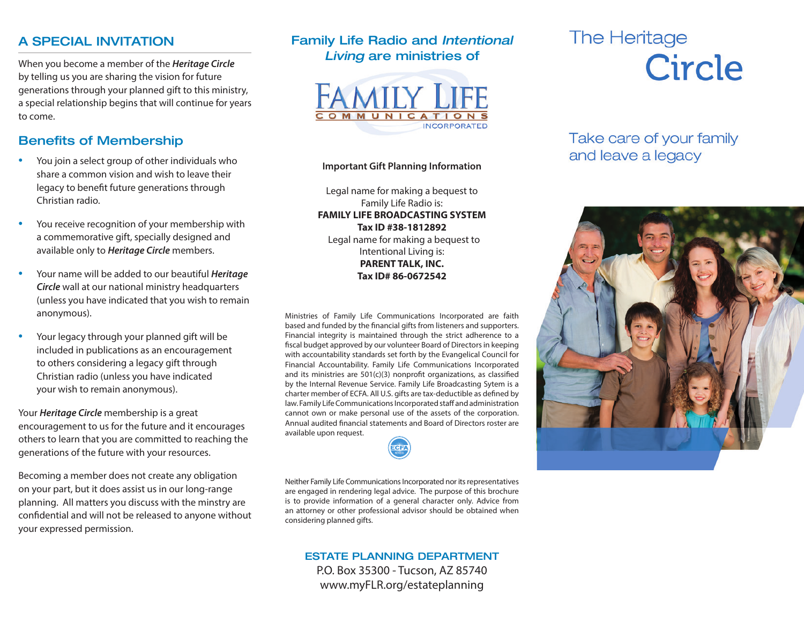### A SPECIAL INVITATION

When you become a member of the *Heritage Circle* by telling us you are sharing the vision for future generations through your planned gift to this ministry, a special relationship begins that will continue for years to come.

## Benefits of Membership

- You join a select group of other individuals who share a common vision and wish to leave their legacy to benefit future generations through Christian radio.
- You receive recognition of your membership with a commemorative gift, specially designed and available only to *Heritage Circle* members.
- Your name will be added to our beautiful *Heritage Circle* wall at our national ministry headquarters (unless you have indicated that you wish to remain anonymous).
- Your legacy through your planned gift will be included in publications as an encouragement to others considering a legacy gift through Christian radio (unless you have indicated your wish to remain anonymous).

Your *Heritage Circle* membership is a great encouragement to us for the future and it encourages others to learn that you are committed to reaching the generations of the future with your resources.

Becoming a member does not create any obligation on your part, but it does assist us in our long-range planning. All matters you discuss with the minstry are confidential and will not be released to anyone without your expressed permission.

## Family Life Radio and *Intentional Living* are ministries of



#### **Important Gift Planning Information**

Legal name for making a bequest to Family Life Radio is: **FAMILY LIFE BROADCASTING SYSTEM Tax ID #38-1812892** Legal name for making a bequest to Intentional Living is: **PARENT TALK, INC. Tax ID# 86-0672542**

Ministries of Family Life Communications Incorporated are faith based and funded by the financial gifts from listeners and supporters. Financial integrity is maintained through the strict adherence to a fiscal budget approved by our volunteer Board of Directors in keeping with accountability standards set forth by the Evangelical Council for Financial Accountability. Family Life Communications Incorporated and its ministries are 501(c)(3) nonprofit organizations, as classified by the Internal Revenue Service. Family Life Broadcasting Sytem is a charter member of ECFA. All U.S. gifts are tax-deductible as defined by law. Family Life Communications Incorporated staff and administration cannot own or make personal use of the assets of the corporation. Annual audited financial statements and Board of Directors roster are available upon request.



### ESTATE PLANNING DEPARTMENT P.O. Box 35300 - Tucson, AZ 85740 www.myFLR.org/estateplanning

# The Heritage Circle

# Take care of your family and leave a legacy